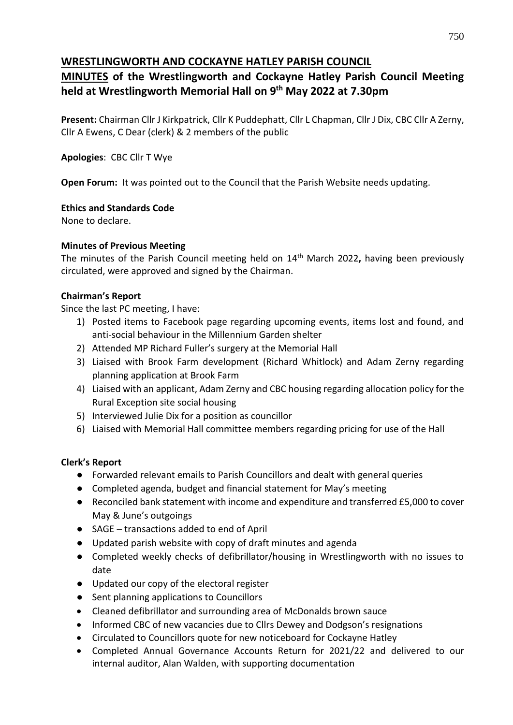# **WRESTLINGWORTH AND COCKAYNE HATLEY PARISH COUNCIL**

# **MINUTES of the Wrestlingworth and Cockayne Hatley Parish Council Meeting held at Wrestlingworth Memorial Hall on 9 th May 2022 at 7.30pm**

**Present:** Chairman Cllr J Kirkpatrick, Cllr K Puddephatt, Cllr L Chapman, Cllr J Dix, CBC Cllr A Zerny, Cllr A Ewens, C Dear (clerk) & 2 members of the public

**Apologies**: CBC Cllr T Wye

**Open Forum:** It was pointed out to the Council that the Parish Website needs updating.

# **Ethics and Standards Code**

None to declare.

# **Minutes of Previous Meeting**

The minutes of the Parish Council meeting held on 14th March 2022**,** having been previously circulated, were approved and signed by the Chairman.

# **Chairman's Report**

Since the last PC meeting, I have:

- 1) Posted items to Facebook page regarding upcoming events, items lost and found, and anti-social behaviour in the Millennium Garden shelter
- 2) Attended MP Richard Fuller's surgery at the Memorial Hall
- 3) Liaised with Brook Farm development (Richard Whitlock) and Adam Zerny regarding planning application at Brook Farm
- 4) Liaised with an applicant, Adam Zerny and CBC housing regarding allocation policy for the Rural Exception site social housing
- 5) Interviewed Julie Dix for a position as councillor
- 6) Liaised with Memorial Hall committee members regarding pricing for use of the Hall

# **Clerk's Report**

- Forwarded relevant emails to Parish Councillors and dealt with general queries
- Completed agenda, budget and financial statement for May's meeting
- Reconciled bank statement with income and expenditure and transferred £5,000 to cover May & June's outgoings
- SAGE transactions added to end of April
- Updated parish website with copy of draft minutes and agenda
- Completed weekly checks of defibrillator/housing in Wrestlingworth with no issues to date
- Updated our copy of the electoral register
- Sent planning applications to Councillors
- Cleaned defibrillator and surrounding area of McDonalds brown sauce
- Informed CBC of new vacancies due to Cllrs Dewey and Dodgson's resignations
- Circulated to Councillors quote for new noticeboard for Cockayne Hatley
- Completed Annual Governance Accounts Return for 2021/22 and delivered to our internal auditor, Alan Walden, with supporting documentation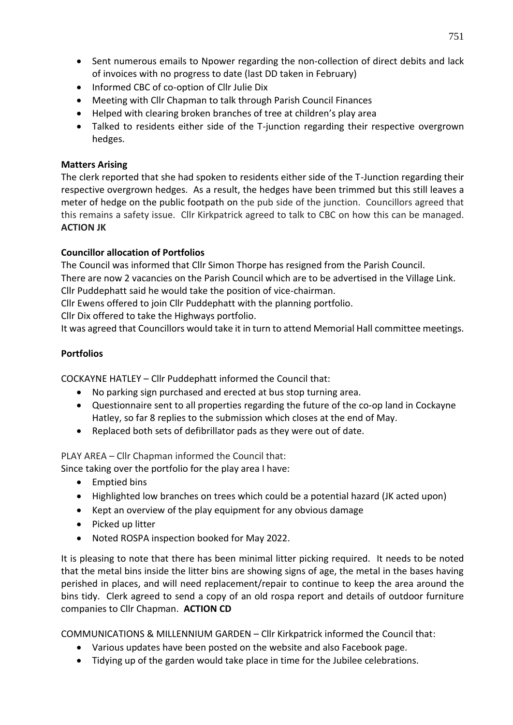- Sent numerous emails to Npower regarding the non-collection of direct debits and lack of invoices with no progress to date (last DD taken in February)
- Informed CBC of co-option of Cllr Julie Dix
- Meeting with Cllr Chapman to talk through Parish Council Finances
- Helped with clearing broken branches of tree at children's play area
- Talked to residents either side of the T-junction regarding their respective overgrown hedges.

### **Matters Arising**

The clerk reported that she had spoken to residents either side of the T-Junction regarding their respective overgrown hedges. As a result, the hedges have been trimmed but this still leaves a meter of hedge on the public footpath on the pub side of the junction. Councillors agreed that this remains a safety issue. Cllr Kirkpatrick agreed to talk to CBC on how this can be managed. **ACTION JK**

# **Councillor allocation of Portfolios**

The Council was informed that Cllr Simon Thorpe has resigned from the Parish Council.

There are now 2 vacancies on the Parish Council which are to be advertised in the Village Link. Cllr Puddephatt said he would take the position of vice-chairman.

Cllr Ewens offered to join Cllr Puddephatt with the planning portfolio.

Cllr Dix offered to take the Highways portfolio.

It was agreed that Councillors would take it in turn to attend Memorial Hall committee meetings.

# **Portfolios**

COCKAYNE HATLEY – Cllr Puddephatt informed the Council that:

- No parking sign purchased and erected at bus stop turning area.
- Questionnaire sent to all properties regarding the future of the co-op land in Cockayne Hatley, so far 8 replies to the submission which closes at the end of May.
- Replaced both sets of defibrillator pads as they were out of date.

PLAY AREA – Cllr Chapman informed the Council that:

Since taking over the portfolio for the play area I have:

- Emptied bins
- Highlighted low branches on trees which could be a potential hazard (JK acted upon)
- Kept an overview of the play equipment for any obvious damage
- Picked up litter
- Noted ROSPA inspection booked for May 2022.

It is pleasing to note that there has been minimal litter picking required. It needs to be noted that the metal bins inside the litter bins are showing signs of age, the metal in the bases having perished in places, and will need replacement/repair to continue to keep the area around the bins tidy. Clerk agreed to send a copy of an old rospa report and details of outdoor furniture companies to Cllr Chapman. **ACTION CD**

COMMUNICATIONS & MILLENNIUM GARDEN – Cllr Kirkpatrick informed the Council that:

- Various updates have been posted on the website and also Facebook page.
- Tidying up of the garden would take place in time for the Jubilee celebrations.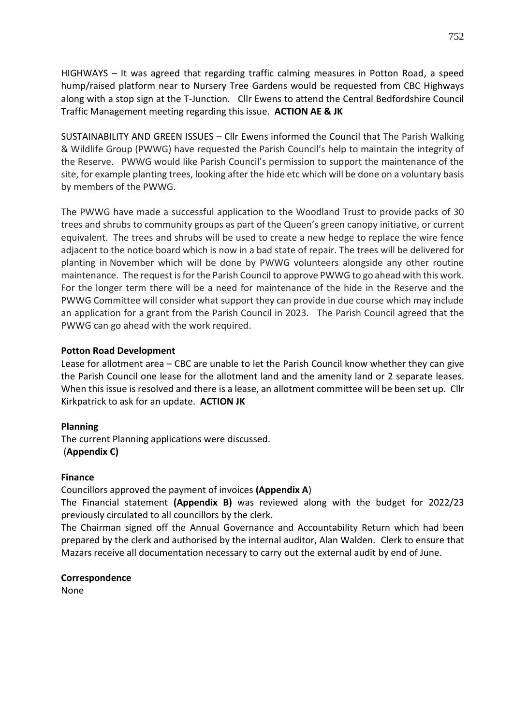HIGHWAYS – It was agreed that regarding traffic calming measures in Potton Road, a speed hump/raised platform near to Nursery Tree Gardens would be requested from CBC Highways along with a stop sign at the T-Junction. Cllr Ewens to attend the Central Bedfordshire Council Traffic Management meeting regarding this issue. **ACTION AE & JK**

SUSTAINABILITY AND GREEN ISSUES – Cllr Ewens informed the Council that The Parish Walking & Wildlife Group (PWWG) have requested the Parish Council's help to maintain the integrity of the Reserve. PWWG would like Parish Council's permission to support the maintenance of the site, for example planting trees, looking after the hide etc which will be done on a voluntary basis by members of the PWWG.

The PWWG have made a successful application to the Woodland Trust to provide packs of 30 trees and shrubs to community groups as part of the Queen's green canopy initiative, or current equivalent. The trees and shrubs will be used to create a new hedge to replace the wire fence adjacent to the notice board which is now in a bad state of repair. The trees will be delivered for planting in November which will be done by PWWG volunteers alongside any other routine maintenance. The request is for the Parish Council to approve PWWG to go ahead with this work. For the longer term there will be a need for maintenance of the hide in the Reserve and the PWWG Committee will consider what support they can provide in due course which may include an application for a grant from the Parish Council in 2023. The Parish Council agreed that the PWWG can go ahead with the work required.

#### **Potton Road Development**

Lease for allotment area – CBC are unable to let the Parish Council know whether they can give the Parish Council one lease for the allotment land and the amenity land or 2 separate leases. When this issue is resolved and there is a lease, an allotment committee will be been set up. Cllr Kirkpatrick to ask for an update. **ACTION JK**

#### **Planning**

The current Planning applications were discussed. (**Appendix C)**

#### **Finance**

Councillors approved the payment of invoices **(Appendix A**)

The Financial statement **(Appendix B)** was reviewed along with the budget for 2022/23 previously circulated to all councillors by the clerk.

The Chairman signed off the Annual Governance and Accountability Return which had been prepared by the clerk and authorised by the internal auditor, Alan Walden. Clerk to ensure that Mazars receive all documentation necessary to carry out the external audit by end of June.

#### **Correspondence**

None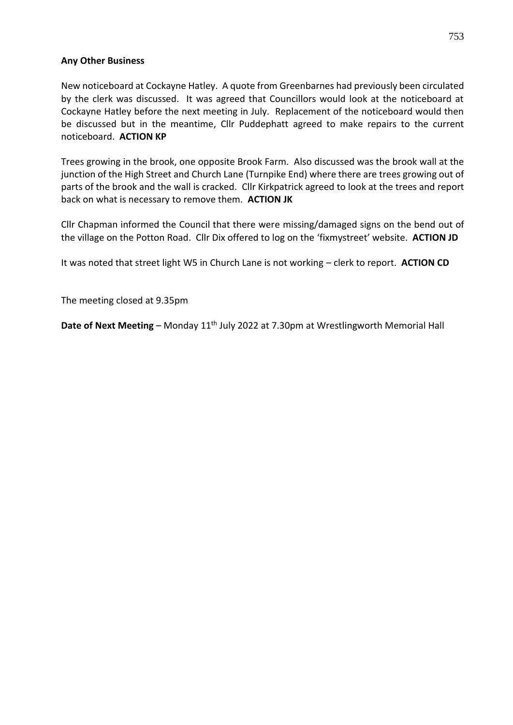#### **Any Other Business**

New noticeboard at Cockayne Hatley. A quote from Greenbarnes had previously been circulated by the clerk was discussed. It was agreed that Councillors would look at the noticeboard at Cockayne Hatley before the next meeting in July. Replacement of the noticeboard would then be discussed but in the meantime, Cllr Puddephatt agreed to make repairs to the current noticeboard. **ACTION KP**

Trees growing in the brook, one opposite Brook Farm. Also discussed was the brook wall at the junction of the High Street and Church Lane (Turnpike End) where there are trees growing out of parts of the brook and the wall is cracked. Cllr Kirkpatrick agreed to look at the trees and report back on what is necessary to remove them. **ACTION JK**

Cllr Chapman informed the Council that there were missing/damaged signs on the bend out of the village on the Potton Road. Cllr Dix offered to log on the 'fixmystreet' website. **ACTION JD**

It was noted that street light W5 in Church Lane is not working – clerk to report. **ACTION CD**

The meeting closed at 9.35pm

Date of Next Meeting – Monday 11<sup>th</sup> July 2022 at 7.30pm at Wrestlingworth Memorial Hall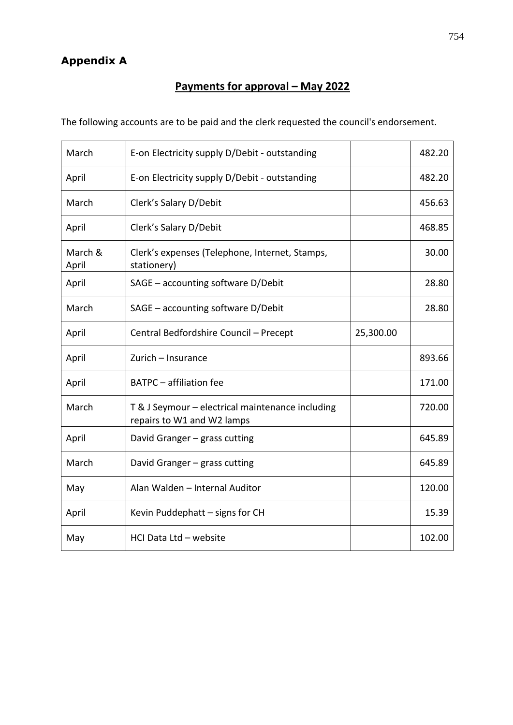# **Appendix A**

# **Payments for approval – May 2022**

The following accounts are to be paid and the clerk requested the council's endorsement.

| March            | E-on Electricity supply D/Debit - outstanding                                  |           | 482.20 |
|------------------|--------------------------------------------------------------------------------|-----------|--------|
| April            | E-on Electricity supply D/Debit - outstanding                                  |           | 482.20 |
| March            | Clerk's Salary D/Debit                                                         |           | 456.63 |
| April            | Clerk's Salary D/Debit                                                         |           | 468.85 |
| March &<br>April | Clerk's expenses (Telephone, Internet, Stamps,<br>stationery)                  |           | 30.00  |
| April            | SAGE - accounting software D/Debit                                             |           | 28.80  |
| March            | SAGE - accounting software D/Debit                                             |           | 28.80  |
| April            | Central Bedfordshire Council - Precept                                         | 25,300.00 |        |
| April            | Zurich - Insurance                                                             |           | 893.66 |
| April            | BATPC - affiliation fee                                                        |           | 171.00 |
| March            | T & J Seymour - electrical maintenance including<br>repairs to W1 and W2 lamps |           | 720.00 |
| April            | David Granger - grass cutting                                                  |           | 645.89 |
| March            | David Granger - grass cutting                                                  |           | 645.89 |
| May              | Alan Walden - Internal Auditor                                                 |           | 120.00 |
| April            | Kevin Puddephatt - signs for CH                                                |           | 15.39  |
| May              | HCI Data Ltd - website                                                         |           | 102.00 |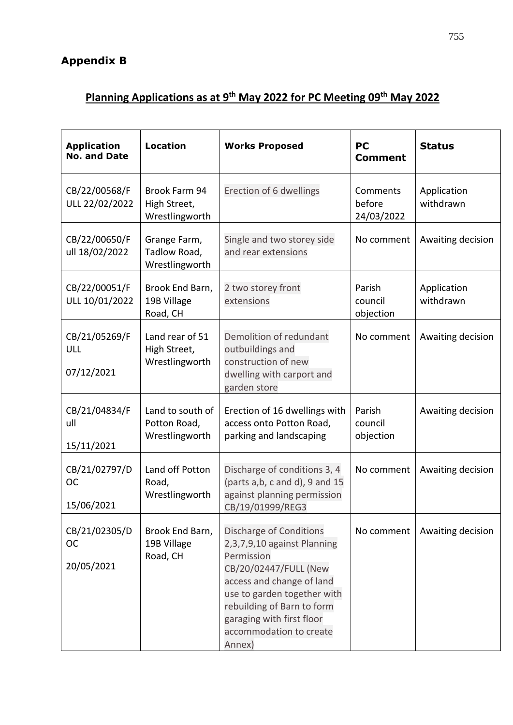# **Planning Applications as at 9th May 2022 for PC Meeting 09th May 2022**

| <b>Application</b><br><b>No. and Date</b> | <b>Location</b>                                    | <b>Works Proposed</b>                                                                                                                                                                                                                                     | <b>PC</b><br><b>Comment</b>      | <b>Status</b>            |
|-------------------------------------------|----------------------------------------------------|-----------------------------------------------------------------------------------------------------------------------------------------------------------------------------------------------------------------------------------------------------------|----------------------------------|--------------------------|
| CB/22/00568/F<br>ULL 22/02/2022           | Brook Farm 94<br>High Street,<br>Wrestlingworth    | Erection of 6 dwellings                                                                                                                                                                                                                                   | Comments<br>before<br>24/03/2022 | Application<br>withdrawn |
| CB/22/00650/F<br>ull 18/02/2022           | Grange Farm,<br>Tadlow Road,<br>Wrestlingworth     | Single and two storey side<br>and rear extensions                                                                                                                                                                                                         | No comment                       | Awaiting decision        |
| CB/22/00051/F<br>ULL 10/01/2022           | Brook End Barn,<br>19B Village<br>Road, CH         | 2 two storey front<br>extensions                                                                                                                                                                                                                          | Parish<br>council<br>objection   | Application<br>withdrawn |
| CB/21/05269/F<br>ULL<br>07/12/2021        | Land rear of 51<br>High Street,<br>Wrestlingworth  | Demolition of redundant<br>outbuildings and<br>construction of new<br>dwelling with carport and<br>garden store                                                                                                                                           | No comment                       | Awaiting decision        |
| CB/21/04834/F<br>ull<br>15/11/2021        | Land to south of<br>Potton Road,<br>Wrestlingworth | Erection of 16 dwellings with<br>access onto Potton Road,<br>parking and landscaping                                                                                                                                                                      | Parish<br>council<br>objection   | Awaiting decision        |
| CB/21/02797/D<br><b>OC</b><br>15/06/2021  | Land off Potton<br>Road,<br>Wrestlingworth         | Discharge of conditions 3, 4<br>(parts a,b, c and d), 9 and 15<br>against planning permission<br>CB/19/01999/REG3                                                                                                                                         | No comment                       | Awaiting decision        |
| CB/21/02305/D<br><b>OC</b><br>20/05/2021  | Brook End Barn,<br>19B Village<br>Road, CH         | Discharge of Conditions<br>2,3,7,9,10 against Planning<br>Permission<br>CB/20/02447/FULL (New<br>access and change of land<br>use to garden together with<br>rebuilding of Barn to form<br>garaging with first floor<br>accommodation to create<br>Annex) | No comment                       | Awaiting decision        |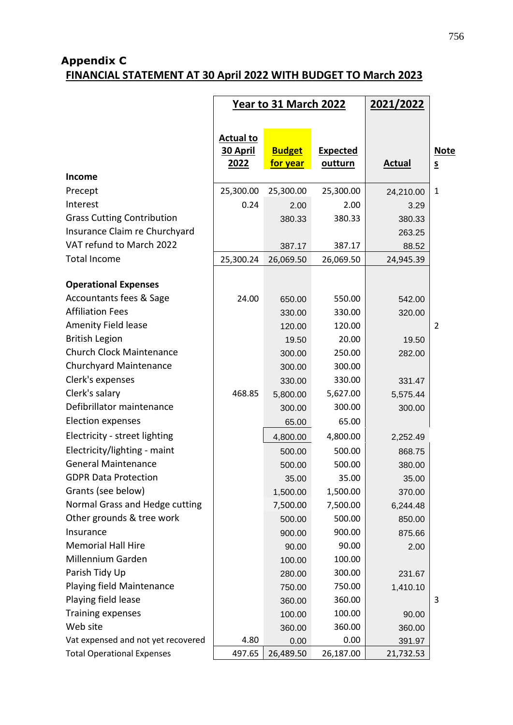# **Appendix C FINANCIAL STATEMENT AT 30 April 2022 WITH BUDGET TO March 2023**

|                                    |                         | <b>Year to 31 March 2022</b>     | 2021/2022                         |               |                         |
|------------------------------------|-------------------------|----------------------------------|-----------------------------------|---------------|-------------------------|
|                                    |                         |                                  |                                   |               |                         |
|                                    | <b>Actual to</b>        |                                  |                                   |               |                         |
|                                    | 30 April<br><u>2022</u> | <b>Budget</b><br><u>for year</u> | <b>Expected</b><br><b>outturn</b> | <b>Actual</b> | <u>Note</u><br><u>s</u> |
| <b>Income</b>                      |                         |                                  |                                   |               |                         |
| Precept                            | 25,300.00               | 25,300.00                        | 25,300.00                         | 24,210.00     | $\mathbf{1}$            |
| Interest                           | 0.24                    | 2.00                             | 2.00                              | 3.29          |                         |
| <b>Grass Cutting Contribution</b>  |                         | 380.33                           | 380.33                            | 380.33        |                         |
| Insurance Claim re Churchyard      |                         |                                  |                                   | 263.25        |                         |
| VAT refund to March 2022           |                         | 387.17                           | 387.17                            | 88.52         |                         |
| <b>Total Income</b>                | 25,300.24               | 26,069.50                        | 26,069.50                         | 24,945.39     |                         |
|                                    |                         |                                  |                                   |               |                         |
| <b>Operational Expenses</b>        |                         |                                  |                                   |               |                         |
| Accountants fees & Sage            | 24.00                   | 650.00                           | 550.00                            | 542.00        |                         |
| <b>Affiliation Fees</b>            |                         | 330.00                           | 330.00                            | 320.00        |                         |
| <b>Amenity Field lease</b>         |                         | 120.00                           | 120.00                            |               | 2                       |
| <b>British Legion</b>              |                         | 19.50                            | 20.00                             | 19.50         |                         |
| <b>Church Clock Maintenance</b>    |                         | 300.00                           | 250.00                            | 282.00        |                         |
| <b>Churchyard Maintenance</b>      |                         | 300.00                           | 300.00                            |               |                         |
| Clerk's expenses                   |                         | 330.00                           | 330.00                            | 331.47        |                         |
| Clerk's salary                     | 468.85                  | 5,800.00                         | 5,627.00                          | 5,575.44      |                         |
| Defibrillator maintenance          |                         | 300.00                           | 300.00                            | 300.00        |                         |
| <b>Election expenses</b>           |                         | 65.00                            | 65.00                             |               |                         |
| Electricity - street lighting      |                         | 4,800.00                         | 4,800.00                          | 2,252.49      |                         |
| Electricity/lighting - maint       |                         | 500.00                           | 500.00                            | 868.75        |                         |
| <b>General Maintenance</b>         |                         | 500.00                           | 500.00                            | 380.00        |                         |
| <b>GDPR Data Protection</b>        |                         | 35.00                            | 35.00                             | 35.00         |                         |
| Grants (see below)                 |                         | 1,500.00                         | 1,500.00                          | 370.00        |                         |
| Normal Grass and Hedge cutting     |                         | 7,500.00                         | 7,500.00                          | 6,244.48      |                         |
| Other grounds & tree work          |                         | 500.00                           | 500.00                            | 850.00        |                         |
| Insurance                          |                         | 900.00                           | 900.00                            | 875.66        |                         |
| <b>Memorial Hall Hire</b>          |                         | 90.00                            | 90.00                             | 2.00          |                         |
| Millennium Garden                  |                         | 100.00                           | 100.00                            |               |                         |
| Parish Tidy Up                     |                         | 280.00                           | 300.00                            | 231.67        |                         |
| Playing field Maintenance          |                         | 750.00                           | 750.00                            | 1,410.10      |                         |
| Playing field lease                |                         | 360.00                           | 360.00                            |               | 3                       |
| <b>Training expenses</b>           |                         | 100.00                           | 100.00                            | 90.00         |                         |
| Web site                           |                         | 360.00                           | 360.00                            | 360.00        |                         |
| Vat expensed and not yet recovered | 4.80                    | 0.00                             | 0.00                              | 391.97        |                         |
| <b>Total Operational Expenses</b>  | 497.65                  | 26,489.50                        | 26,187.00                         | 21,732.53     |                         |